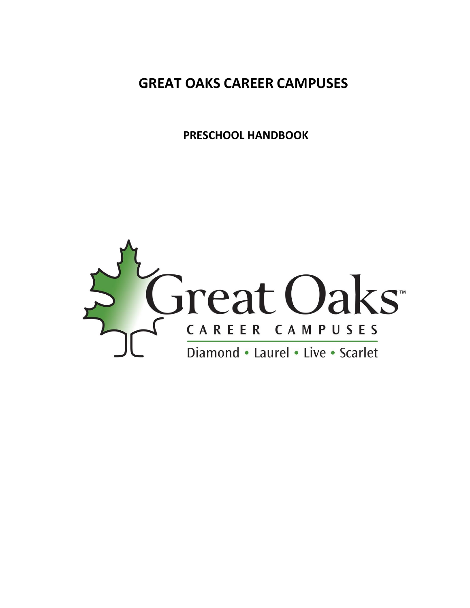**GREAT OAKS CAREER CAMPUSES** 

 **PRESCHOOL HANDBOOK** 

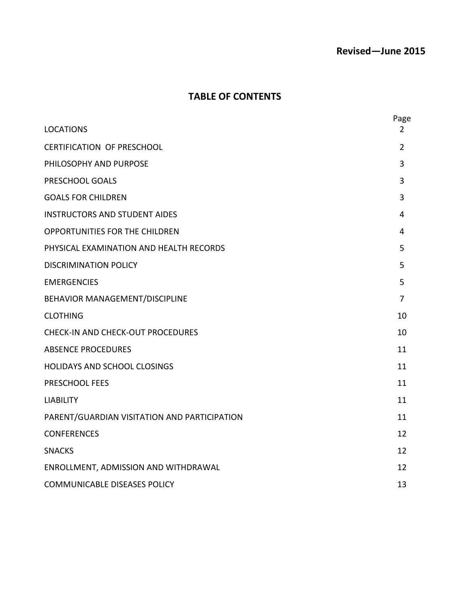## **Revised—June 2015**

### **TABLE OF CONTENTS**

|                                              | Page           |
|----------------------------------------------|----------------|
| <b>LOCATIONS</b>                             | 2              |
| <b>CERTIFICATION OF PRESCHOOL</b>            | $\overline{2}$ |
| PHILOSOPHY AND PURPOSE                       | 3              |
| PRESCHOOL GOALS                              | 3              |
| <b>GOALS FOR CHILDREN</b>                    | 3              |
| <b>INSTRUCTORS AND STUDENT AIDES</b>         | 4              |
| <b>OPPORTUNITIES FOR THE CHILDREN</b>        | 4              |
| PHYSICAL EXAMINATION AND HEALTH RECORDS      | 5              |
| <b>DISCRIMINATION POLICY</b>                 | 5              |
| <b>EMERGENCIES</b>                           | 5              |
| BEHAVIOR MANAGEMENT/DISCIPLINE               | 7              |
| <b>CLOTHING</b>                              | 10             |
| <b>CHECK-IN AND CHECK-OUT PROCEDURES</b>     | 10             |
| <b>ABSENCE PROCEDURES</b>                    | 11             |
| <b>HOLIDAYS AND SCHOOL CLOSINGS</b>          | 11             |
| PRESCHOOL FEES                               | 11             |
| <b>LIABILITY</b>                             | 11             |
| PARENT/GUARDIAN VISITATION AND PARTICIPATION | 11             |
| <b>CONFERENCES</b>                           | 12             |
| <b>SNACKS</b>                                | 12             |
| ENROLLMENT, ADMISSION AND WITHDRAWAL         | 12             |
| <b>COMMUNICABLE DISEASES POLICY</b>          | 13             |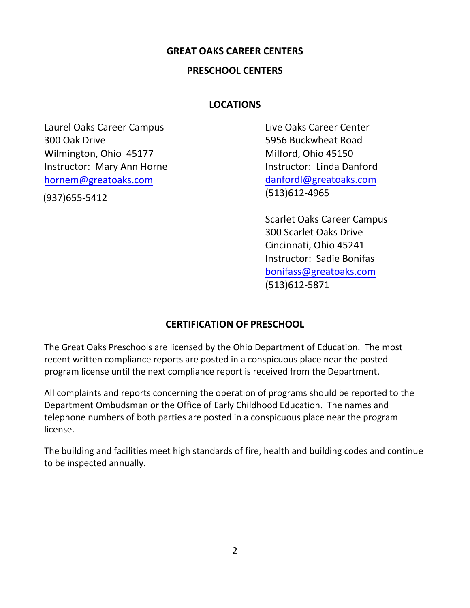#### **GREAT OAKS CAREER CENTERS**

#### **PRESCHOOL CENTERS**

#### **LOCATIONS**

Laurel Oaks Career Campus 300 Oak Drive Wilmington, Ohio 45177 Instructor: Mary Ann Horne [hornem@greatoaks.com](mailto:roddyd@greatoaks.com)

(937)655-5412

Live Oaks Career Center 5956 Buckwheat Road Milford, Ohio 45150 Instructor: Linda Danford [danfordl@greatoaks.com](mailto:danfordl@greatoaks.com) (513)612-4965

Scarlet Oaks Career Campus 300 Scarlet Oaks Drive Cincinnati, Ohio 45241 Instructor: Sadie Bonifas bonifass[@greatoaks.com](mailto:schnellc@greatoaks.com)  (513)612-5871

#### **CERTIFICATION OF PRESCHOOL**

The Great Oaks Preschools are licensed by the Ohio Department of Education. The most recent written compliance reports are posted in a conspicuous place near the posted program license until the next compliance report is received from the Department.

All complaints and reports concerning the operation of programs should be reported to the Department Ombudsman or the Office of Early Childhood Education. The names and telephone numbers of both parties are posted in a conspicuous place near the program license.

The building and facilities meet high standards of fire, health and building codes and continue to be inspected annually.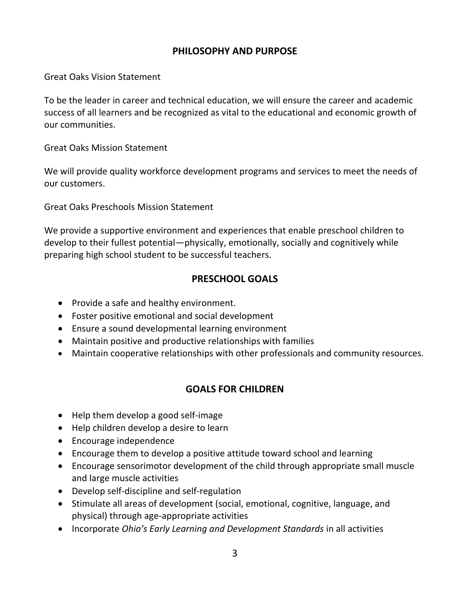### **PHILOSOPHY AND PURPOSE**

Great Oaks Vision Statement

To be the leader in career and technical education, we will ensure the career and academic success of all learners and be recognized as vital to the educational and economic growth of our communities.

Great Oaks Mission Statement

We will provide quality workforce development programs and services to meet the needs of our customers.

Great Oaks Preschools Mission Statement

We provide a supportive environment and experiences that enable preschool children to develop to their fullest potential—physically, emotionally, socially and cognitively while preparing high school student to be successful teachers.

### **PRESCHOOL GOALS**

- Provide a safe and healthy environment.
- Foster positive emotional and social development
- Ensure a sound developmental learning environment
- Maintain positive and productive relationships with families
- Maintain cooperative relationships with other professionals and community resources.

### **GOALS FOR CHILDREN**

- Help them develop a good self-image
- Help children develop a desire to learn
- Encourage independence
- Encourage them to develop a positive attitude toward school and learning
- Encourage sensorimotor development of the child through appropriate small muscle and large muscle activities
- Develop self-discipline and self-regulation
- Stimulate all areas of development (social, emotional, cognitive, language, and physical) through age-appropriate activities
- Incorporate *Ohio's Early Learning and Development Standards* in all activities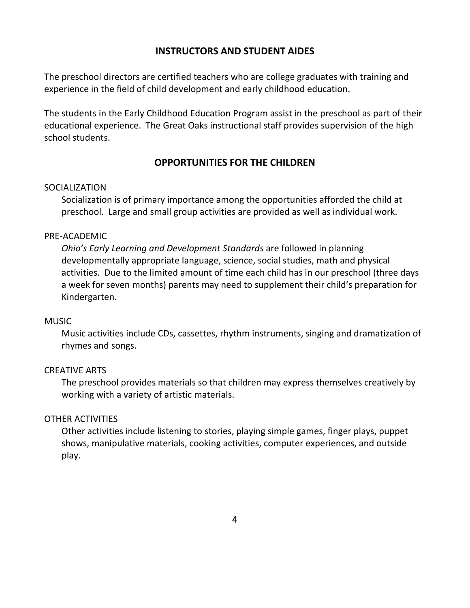### **INSTRUCTORS AND STUDENT AIDES**

The preschool directors are certified teachers who are college graduates with training and experience in the field of child development and early childhood education.

The students in the Early Childhood Education Program assist in the preschool as part of their educational experience. The Great Oaks instructional staff provides supervision of the high school students.

### **OPPORTUNITIES FOR THE CHILDREN**

#### **SOCIALIZATION**

Socialization is of primary importance among the opportunities afforded the child at preschool. Large and small group activities are provided as well as individual work.

#### PRE-ACADEMIC

*Ohio's Early Learning and Development Standards* are followed in planning developmentally appropriate language, science, social studies, math and physical activities. Due to the limited amount of time each child has in our preschool (three days a week for seven months) parents may need to supplement their child's preparation for Kindergarten.

#### MUSIC

Music activities include CDs, cassettes, rhythm instruments, singing and dramatization of rhymes and songs.

#### CREATIVE ARTS

The preschool provides materials so that children may express themselves creatively by working with a variety of artistic materials.

#### OTHER ACTIVITIES

Other activities include listening to stories, playing simple games, finger plays, puppet shows, manipulative materials, cooking activities, computer experiences, and outside play.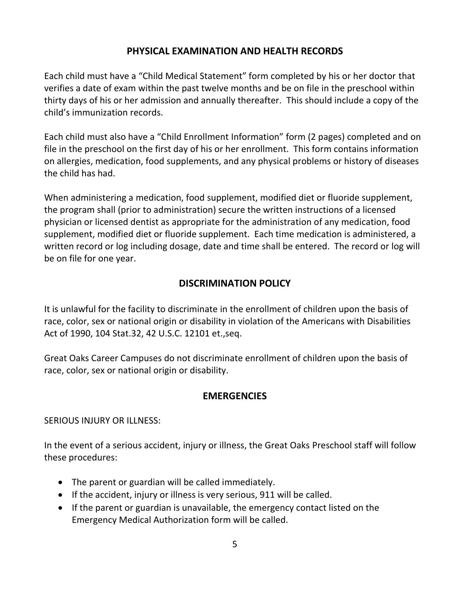### **PHYSICAL EXAMINATION AND HEALTH RECORDS**

Each child must have a "Child Medical Statement" form completed by his or her doctor that verifies a date of exam within the past twelve months and be on file in the preschool within thirty days of his or her admission and annually thereafter. This should include a copy of the child's immunization records.

Each child must also have a "Child Enrollment Information" form (2 pages) completed and on file in the preschool on the first day of his or her enrollment. This form contains information on allergies, medication, food supplements, and any physical problems or history of diseases the child has had.

When administering a medication, food supplement, modified diet or fluoride supplement, the program shall (prior to administration) secure the written instructions of a licensed physician or licensed dentist as appropriate for the administration of any medication, food supplement, modified diet or fluoride supplement. Each time medication is administered, a written record or log including dosage, date and time shall be entered. The record or log will be on file for one year.

## **DISCRIMINATION POLICY**

It is unlawful for the facility to discriminate in the enrollment of children upon the basis of race, color, sex or national origin or disability in violation of the Americans with Disabilities Act of 1990, 104 Stat.32, 42 U.S.C. 12101 et.,seq.

Great Oaks Career Campuses do not discriminate enrollment of children upon the basis of race, color, sex or national origin or disability.

## **EMERGENCIES**

SERIOUS INJURY OR ILLNESS:

In the event of a serious accident, injury or illness, the Great Oaks Preschool staff will follow these procedures:

- The parent or guardian will be called immediately.
- If the accident, injury or illness is very serious, 911 will be called.
- If the parent or guardian is unavailable, the emergency contact listed on the Emergency Medical Authorization form will be called.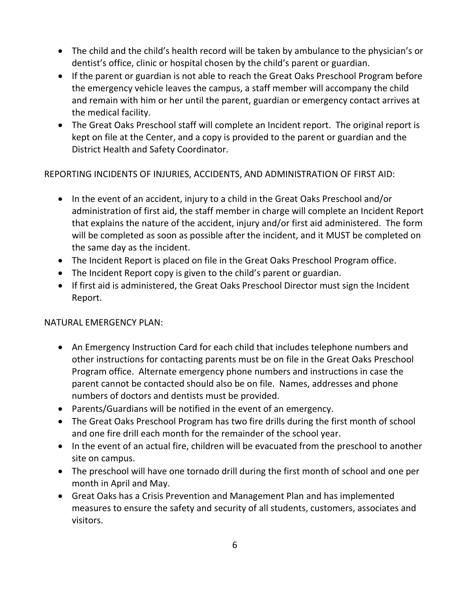- The child and the child's health record will be taken by ambulance to the physician's or dentist's office, clinic or hospital chosen by the child's parent or guardian.
- If the parent or guardian is not able to reach the Great Oaks Preschool Program before the emergency vehicle leaves the campus, a staff member will accompany the child and remain with him or her until the parent, guardian or emergency contact arrives at the medical facility.
- The Great Oaks Preschool staff will complete an Incident report. The original report is kept on file at the Center, and a copy is provided to the parent or guardian and the District Health and Safety Coordinator.

REPORTING INCIDENTS OF INJURIES, ACCIDENTS, AND ADMINISTRATION OF FIRST AID:

- In the event of an accident, injury to a child in the Great Oaks Preschool and/or administration of first aid, the staff member in charge will complete an Incident Report that explains the nature of the accident, injury and/or first aid administered. The form will be completed as soon as possible after the incident, and it MUST be completed on the same day as the incident.
- The Incident Report is placed on file in the Great Oaks Preschool Program office.
- The Incident Report copy is given to the child's parent or guardian.
- If first aid is administered, the Great Oaks Preschool Director must sign the Incident Report.

## NATURAL EMERGENCY PLAN:

- An Emergency Instruction Card for each child that includes telephone numbers and other instructions for contacting parents must be on file in the Great Oaks Preschool Program office. Alternate emergency phone numbers and instructions in case the parent cannot be contacted should also be on file. Names, addresses and phone numbers of doctors and dentists must be provided.
- Parents/Guardians will be notified in the event of an emergency.
- The Great Oaks Preschool Program has two fire drills during the first month of school and one fire drill each month for the remainder of the school year.
- In the event of an actual fire, children will be evacuated from the preschool to another site on campus.
- The preschool will have one tornado drill during the first month of school and one per month in April and May.
- Great Oaks has a Crisis Prevention and Management Plan and has implemented measures to ensure the safety and security of all students, customers, associates and visitors.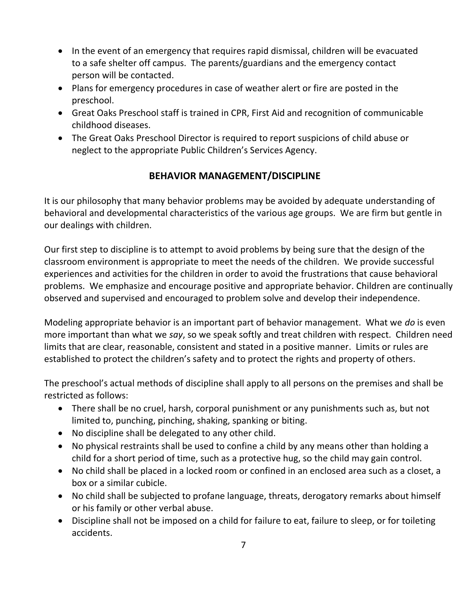- In the event of an emergency that requires rapid dismissal, children will be evacuated to a safe shelter off campus. The parents/guardians and the emergency contact person will be contacted.
- Plans for emergency procedures in case of weather alert or fire are posted in the preschool.
- Great Oaks Preschool staff is trained in CPR, First Aid and recognition of communicable childhood diseases.
- The Great Oaks Preschool Director is required to report suspicions of child abuse or neglect to the appropriate Public Children's Services Agency.

# **BEHAVIOR MANAGEMENT/DISCIPLINE**

It is our philosophy that many behavior problems may be avoided by adequate understanding of behavioral and developmental characteristics of the various age groups. We are firm but gentle in our dealings with children.

Our first step to discipline is to attempt to avoid problems by being sure that the design of the classroom environment is appropriate to meet the needs of the children. We provide successful experiences and activities for the children in order to avoid the frustrations that cause behavioral problems. We emphasize and encourage positive and appropriate behavior. Children are continually observed and supervised and encouraged to problem solve and develop their independence.

Modeling appropriate behavior is an important part of behavior management. What we *do* is even more important than what we *say*, so we speak softly and treat children with respect. Children need limits that are clear, reasonable, consistent and stated in a positive manner. Limits or rules are established to protect the children's safety and to protect the rights and property of others.

The preschool's actual methods of discipline shall apply to all persons on the premises and shall be restricted as follows:

- There shall be no cruel, harsh, corporal punishment or any punishments such as, but not limited to, punching, pinching, shaking, spanking or biting.
- No discipline shall be delegated to any other child.
- No physical restraints shall be used to confine a child by any means other than holding a child for a short period of time, such as a protective hug, so the child may gain control.
- No child shall be placed in a locked room or confined in an enclosed area such as a closet, a box or a similar cubicle.
- No child shall be subjected to profane language, threats, derogatory remarks about himself or his family or other verbal abuse.
- Discipline shall not be imposed on a child for failure to eat, failure to sleep, or for toileting accidents.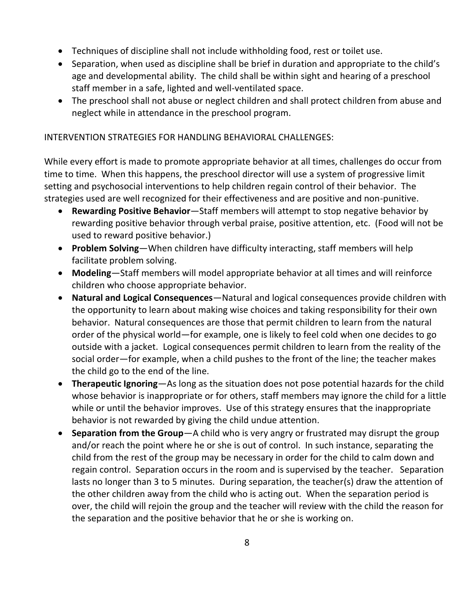- Techniques of discipline shall not include withholding food, rest or toilet use.
- Separation, when used as discipline shall be brief in duration and appropriate to the child's age and developmental ability. The child shall be within sight and hearing of a preschool staff member in a safe, lighted and well-ventilated space.
- The preschool shall not abuse or neglect children and shall protect children from abuse and neglect while in attendance in the preschool program.

### INTERVENTION STRATEGIES FOR HANDLING BEHAVIORAL CHALLENGES:

While every effort is made to promote appropriate behavior at all times, challenges do occur from time to time. When this happens, the preschool director will use a system of progressive limit setting and psychosocial interventions to help children regain control of their behavior. The strategies used are well recognized for their effectiveness and are positive and non-punitive.

- **Rewarding Positive Behavior**—Staff members will attempt to stop negative behavior by rewarding positive behavior through verbal praise, positive attention, etc. (Food will not be used to reward positive behavior.)
- **Problem Solving**—When children have difficulty interacting, staff members will help facilitate problem solving.
- **Modeling**—Staff members will model appropriate behavior at all times and will reinforce children who choose appropriate behavior.
- **Natural and Logical Consequences**—Natural and logical consequences provide children with the opportunity to learn about making wise choices and taking responsibility for their own behavior. Natural consequences are those that permit children to learn from the natural order of the physical world—for example, one is likely to feel cold when one decides to go outside with a jacket. Logical consequences permit children to learn from the reality of the social order—for example, when a child pushes to the front of the line; the teacher makes the child go to the end of the line.
- **Therapeutic Ignoring**—As long as the situation does not pose potential hazards for the child whose behavior is inappropriate or for others, staff members may ignore the child for a little while or until the behavior improves. Use of this strategy ensures that the inappropriate behavior is not rewarded by giving the child undue attention.
- **Separation from the Group**—A child who is very angry or frustrated may disrupt the group and/or reach the point where he or she is out of control. In such instance, separating the child from the rest of the group may be necessary in order for the child to calm down and regain control. Separation occurs in the room and is supervised by the teacher. Separation lasts no longer than 3 to 5 minutes. During separation, the teacher(s) draw the attention of the other children away from the child who is acting out. When the separation period is over, the child will rejoin the group and the teacher will review with the child the reason for the separation and the positive behavior that he or she is working on.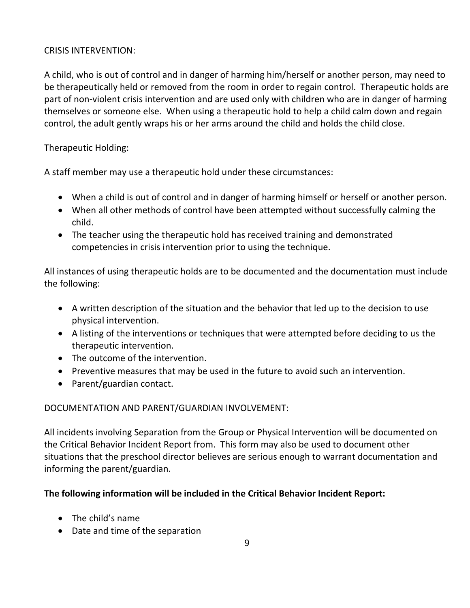### CRISIS INTERVENTION:

A child, who is out of control and in danger of harming him/herself or another person, may need to be therapeutically held or removed from the room in order to regain control. Therapeutic holds are part of non-violent crisis intervention and are used only with children who are in danger of harming themselves or someone else. When using a therapeutic hold to help a child calm down and regain control, the adult gently wraps his or her arms around the child and holds the child close.

Therapeutic Holding:

A staff member may use a therapeutic hold under these circumstances:

- When a child is out of control and in danger of harming himself or herself or another person.
- When all other methods of control have been attempted without successfully calming the child.
- The teacher using the therapeutic hold has received training and demonstrated competencies in crisis intervention prior to using the technique.

All instances of using therapeutic holds are to be documented and the documentation must include the following:

- A written description of the situation and the behavior that led up to the decision to use physical intervention.
- A listing of the interventions or techniques that were attempted before deciding to us the therapeutic intervention.
- The outcome of the intervention.
- Preventive measures that may be used in the future to avoid such an intervention.
- Parent/guardian contact.

#### DOCUMENTATION AND PARENT/GUARDIAN INVOLVEMENT:

All incidents involving Separation from the Group or Physical Intervention will be documented on the Critical Behavior Incident Report from. This form may also be used to document other situations that the preschool director believes are serious enough to warrant documentation and informing the parent/guardian.

#### **The following information will be included in the Critical Behavior Incident Report:**

- The child's name
- Date and time of the separation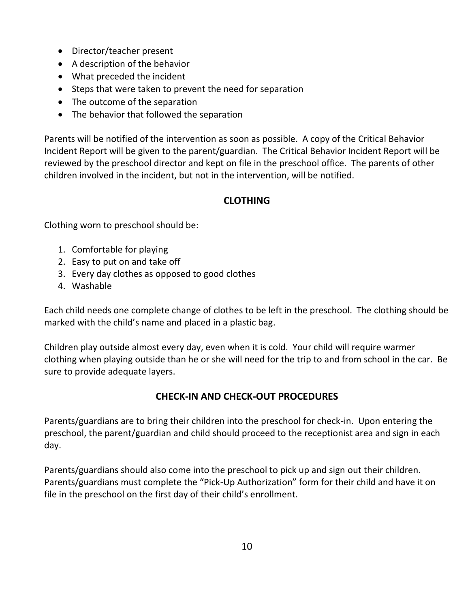- Director/teacher present
- A description of the behavior
- What preceded the incident
- Steps that were taken to prevent the need for separation
- The outcome of the separation
- The behavior that followed the separation

Parents will be notified of the intervention as soon as possible. A copy of the Critical Behavior Incident Report will be given to the parent/guardian. The Critical Behavior Incident Report will be reviewed by the preschool director and kept on file in the preschool office. The parents of other children involved in the incident, but not in the intervention, will be notified.

## **CLOTHING**

Clothing worn to preschool should be:

- 1. Comfortable for playing
- 2. Easy to put on and take off
- 3. Every day clothes as opposed to good clothes
- 4. Washable

Each child needs one complete change of clothes to be left in the preschool. The clothing should be marked with the child's name and placed in a plastic bag.

Children play outside almost every day, even when it is cold. Your child will require warmer clothing when playing outside than he or she will need for the trip to and from school in the car. Be sure to provide adequate layers.

## **CHECK-IN AND CHECK-OUT PROCEDURES**

Parents/guardians are to bring their children into the preschool for check-in. Upon entering the preschool, the parent/guardian and child should proceed to the receptionist area and sign in each day.

Parents/guardians should also come into the preschool to pick up and sign out their children. Parents/guardians must complete the "Pick-Up Authorization" form for their child and have it on file in the preschool on the first day of their child's enrollment.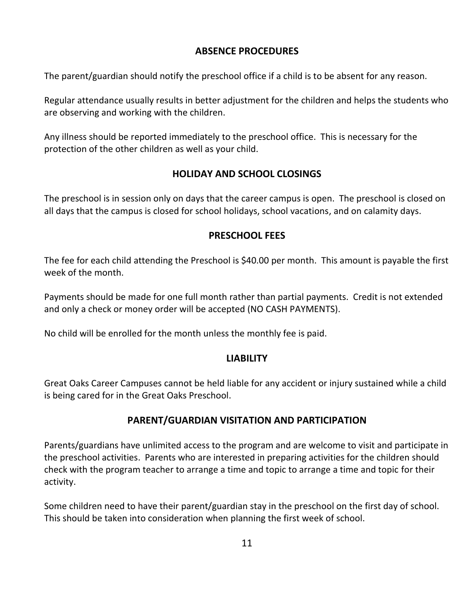### **ABSENCE PROCEDURES**

The parent/guardian should notify the preschool office if a child is to be absent for any reason.

Regular attendance usually results in better adjustment for the children and helps the students who are observing and working with the children.

Any illness should be reported immediately to the preschool office. This is necessary for the protection of the other children as well as your child.

## **HOLIDAY AND SCHOOL CLOSINGS**

The preschool is in session only on days that the career campus is open. The preschool is closed on all days that the campus is closed for school holidays, school vacations, and on calamity days.

## **PRESCHOOL FEES**

The fee for each child attending the Preschool is \$40.00 per month. This amount is payable the first week of the month.

Payments should be made for one full month rather than partial payments. Credit is not extended and only a check or money order will be accepted (NO CASH PAYMENTS).

No child will be enrolled for the month unless the monthly fee is paid.

## **LIABILITY**

Great Oaks Career Campuses cannot be held liable for any accident or injury sustained while a child is being cared for in the Great Oaks Preschool.

## **PARENT/GUARDIAN VISITATION AND PARTICIPATION**

Parents/guardians have unlimited access to the program and are welcome to visit and participate in the preschool activities. Parents who are interested in preparing activities for the children should check with the program teacher to arrange a time and topic to arrange a time and topic for their activity.

Some children need to have their parent/guardian stay in the preschool on the first day of school. This should be taken into consideration when planning the first week of school.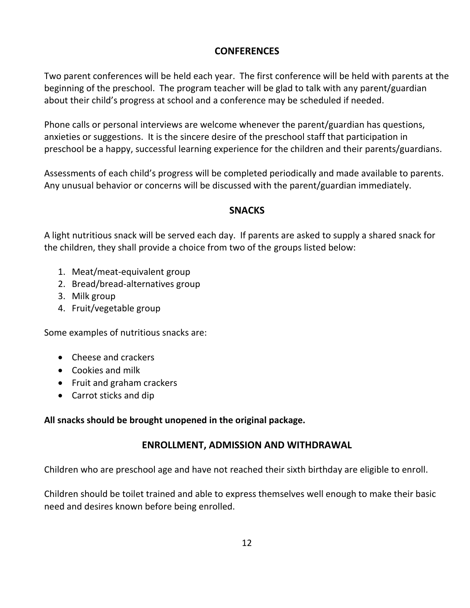## **CONFERENCES**

Two parent conferences will be held each year. The first conference will be held with parents at the beginning of the preschool. The program teacher will be glad to talk with any parent/guardian about their child's progress at school and a conference may be scheduled if needed.

Phone calls or personal interviews are welcome whenever the parent/guardian has questions, anxieties or suggestions. It is the sincere desire of the preschool staff that participation in preschool be a happy, successful learning experience for the children and their parents/guardians.

Assessments of each child's progress will be completed periodically and made available to parents. Any unusual behavior or concerns will be discussed with the parent/guardian immediately.

### **SNACKS**

A light nutritious snack will be served each day. If parents are asked to supply a shared snack for the children, they shall provide a choice from two of the groups listed below:

- 1. Meat/meat-equivalent group
- 2. Bread/bread-alternatives group
- 3. Milk group
- 4. Fruit/vegetable group

Some examples of nutritious snacks are:

- Cheese and crackers
- Cookies and milk
- Fruit and graham crackers
- Carrot sticks and dip

## **All snacks should be brought unopened in the original package.**

## **ENROLLMENT, ADMISSION AND WITHDRAWAL**

Children who are preschool age and have not reached their sixth birthday are eligible to enroll.

Children should be toilet trained and able to express themselves well enough to make their basic need and desires known before being enrolled.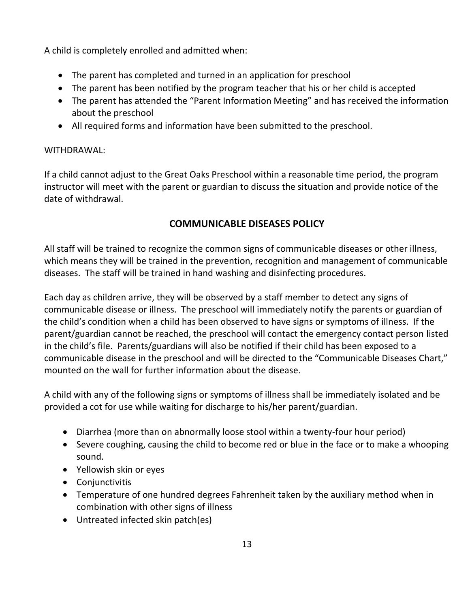A child is completely enrolled and admitted when:

- The parent has completed and turned in an application for preschool
- The parent has been notified by the program teacher that his or her child is accepted
- The parent has attended the "Parent Information Meeting" and has received the information about the preschool
- All required forms and information have been submitted to the preschool.

### WITHDRAWAL:

If a child cannot adjust to the Great Oaks Preschool within a reasonable time period, the program instructor will meet with the parent or guardian to discuss the situation and provide notice of the date of withdrawal.

# **COMMUNICABLE DISEASES POLICY**

All staff will be trained to recognize the common signs of communicable diseases or other illness, which means they will be trained in the prevention, recognition and management of communicable diseases. The staff will be trained in hand washing and disinfecting procedures.

Each day as children arrive, they will be observed by a staff member to detect any signs of communicable disease or illness. The preschool will immediately notify the parents or guardian of the child's condition when a child has been observed to have signs or symptoms of illness. If the parent/guardian cannot be reached, the preschool will contact the emergency contact person listed in the child's file. Parents/guardians will also be notified if their child has been exposed to a communicable disease in the preschool and will be directed to the "Communicable Diseases Chart," mounted on the wall for further information about the disease.

A child with any of the following signs or symptoms of illness shall be immediately isolated and be provided a cot for use while waiting for discharge to his/her parent/guardian.

- Diarrhea (more than on abnormally loose stool within a twenty-four hour period)
- Severe coughing, causing the child to become red or blue in the face or to make a whooping sound.
- Yellowish skin or eyes
- Conjunctivitis
- Temperature of one hundred degrees Fahrenheit taken by the auxiliary method when in combination with other signs of illness
- Untreated infected skin patch(es)